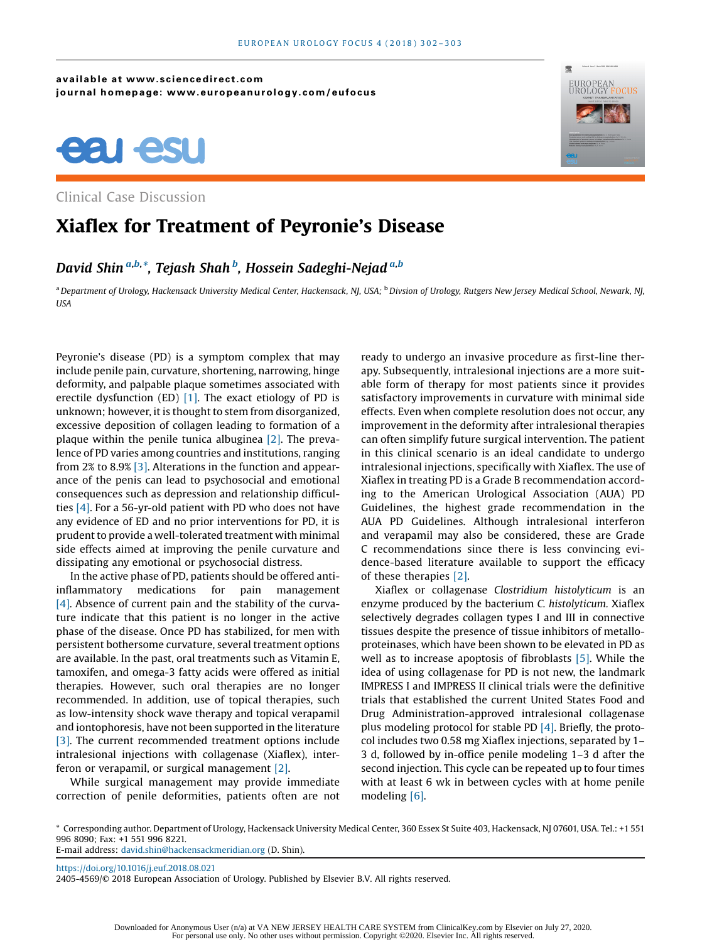available at www.sciencedirect.com journal homepage: www.europeanurology.com/eufocus





Clinical Case Discussion

## Xiaflex for Treatment of Peyronie's Disease

David Shin <sup>a,b,</sup>\*, Tejash Shah <sup>b</sup>, Hossein Sadeghi-Nejad <sup>a,b</sup>

a Department of Urology, Hackensack University Medical Center, Hackensack, NJ, USA; <sup>b</sup> Divsion of Urology, Rutgers New Jersey Medical School, Newark, NJ, USA

Peyronie's disease (PD) is a symptom complex that may include penile pain, curvature, shortening, narrowing, hinge deformity, and palpable plaque sometimes associated with erectile dysfunction (ED)  $[1]$ . The exact etiology of PD is unknown; however, it is thought to stem from disorganized, excessive deposition of collagen leading to formation of a plaque within the penile tunica albuginea [\[2\]](#page-1-0). The prevalence of PD varies among countries and institutions, ranging from 2% to 8.9% [\[3\]](#page-1-0). Alterations in the function and appearance of the penis can lead to psychosocial and emotional consequences such as depression and relationship difficulties [\[4\].](#page-1-0) For a 56-yr-old patient with PD who does not have any evidence of ED and no prior interventions for PD, it is prudent to provide a well-tolerated treatment with minimal side effects aimed at improving the penile curvature and dissipating any emotional or psychosocial distress.

In the active phase of PD, patients should be offered antiinflammatory medications for pain management [\[4\].](#page-1-0) Absence of current pain and the stability of the curvature indicate that this patient is no longer in the active phase of the disease. Once PD has stabilized, for men with persistent bothersome curvature, several treatment options are available. In the past, oral treatments such as Vitamin E, tamoxifen, and omega-3 fatty acids were offered as initial therapies. However, such oral therapies are no longer recommended. In addition, use of topical therapies, such as low-intensity shock wave therapy and topical verapamil and iontophoresis, have not been supported in the literature [\[3\].](#page-1-0) The current recommended treatment options include intralesional injections with collagenase (Xiaflex), interferon or verapamil, or surgical management [\[2\].](#page-1-0)

While surgical management may provide immediate correction of penile deformities, patients often are not ready to undergo an invasive procedure as first-line therapy. Subsequently, intralesional injections are a more suitable form of therapy for most patients since it provides satisfactory improvements in curvature with minimal side effects. Even when complete resolution does not occur, any improvement in the deformity after intralesional therapies can often simplify future surgical intervention. The patient in this clinical scenario is an ideal candidate to undergo intralesional injections, specifically with Xiaflex. The use of Xiaflex in treating PD is a Grade B recommendation according to the American Urological Association (AUA) PD Guidelines, the highest grade recommendation in the AUA PD Guidelines. Although intralesional interferon and verapamil may also be considered, these are Grade C recommendations since there is less convincing evidence-based literature available to support the efficacy of these therapies [\[2\].](#page-1-0)

Xiaflex or collagenase Clostridium histolyticum is an enzyme produced by the bacterium C. histolyticum. Xiaflex selectively degrades collagen types I and III in connective tissues despite the presence of tissue inhibitors of metalloproteinases, which have been shown to be elevated in PD as well as to increase apoptosis of fibroblasts [\[5\].](#page-1-0) While the idea of using collagenase for PD is not new, the landmark IMPRESS I and IMPRESS II clinical trials were the definitive trials that established the current United States Food and Drug Administration-approved intralesional collagenase plus modeling protocol for stable PD [\[4\].](#page-1-0) Briefly, the protocol includes two 0.58 mg Xiaflex injections, separated by 1– 3 d, followed by in-office penile modeling 1–3 d after the second injection. This cycle can be repeated up to four times with at least 6 wk in between cycles with at home penile modeling [\[6\]](#page-1-0).

\* Corresponding author. Department of Urology, Hackensack University Medical Center, 360 Essex St Suite 403, Hackensack, NJ 07601, USA. Tel.: +1 551 996 8090; Fax: +1 551 996 8221. E-mail address: [david.shin@hackensackmeridian.org](mailto:david.shin@hackensackmeridian.org) (D. Shin).

<https://doi.org/10.1016/j.euf.2018.08.021> 2405-4569/© 2018 European Association of Urology. Published by Elsevier B.V. All rights reserved.